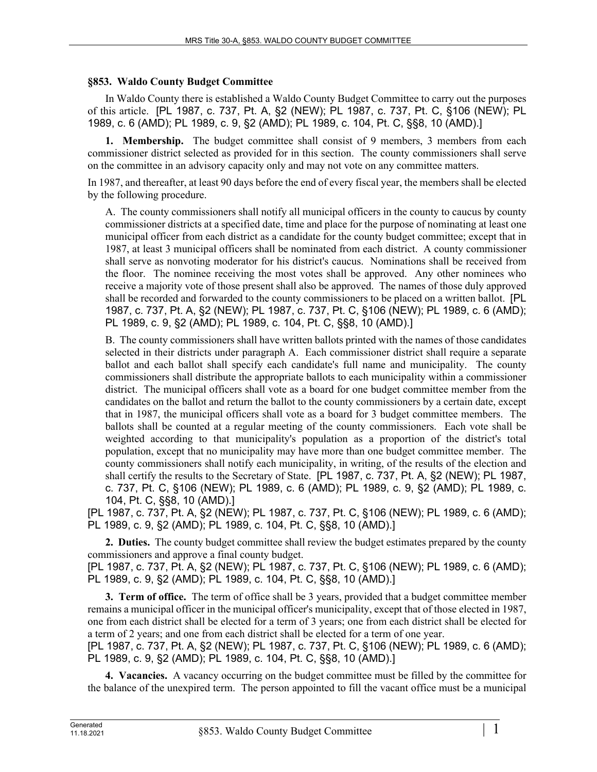## **§853. Waldo County Budget Committee**

In Waldo County there is established a Waldo County Budget Committee to carry out the purposes of this article. [PL 1987, c. 737, Pt. A, §2 (NEW); PL 1987, c. 737, Pt. C, §106 (NEW); PL 1989, c. 6 (AMD); PL 1989, c. 9, §2 (AMD); PL 1989, c. 104, Pt. C, §§8, 10 (AMD).]

**1. Membership.** The budget committee shall consist of 9 members, 3 members from each commissioner district selected as provided for in this section. The county commissioners shall serve on the committee in an advisory capacity only and may not vote on any committee matters.

In 1987, and thereafter, at least 90 days before the end of every fiscal year, the members shall be elected by the following procedure.

A. The county commissioners shall notify all municipal officers in the county to caucus by county commissioner districts at a specified date, time and place for the purpose of nominating at least one municipal officer from each district as a candidate for the county budget committee; except that in 1987, at least 3 municipal officers shall be nominated from each district. A county commissioner shall serve as nonvoting moderator for his district's caucus. Nominations shall be received from the floor. The nominee receiving the most votes shall be approved. Any other nominees who receive a majority vote of those present shall also be approved. The names of those duly approved shall be recorded and forwarded to the county commissioners to be placed on a written ballot. [PL 1987, c. 737, Pt. A, §2 (NEW); PL 1987, c. 737, Pt. C, §106 (NEW); PL 1989, c. 6 (AMD); PL 1989, c. 9, §2 (AMD); PL 1989, c. 104, Pt. C, §§8, 10 (AMD).]

B. The county commissioners shall have written ballots printed with the names of those candidates selected in their districts under paragraph A. Each commissioner district shall require a separate ballot and each ballot shall specify each candidate's full name and municipality. The county commissioners shall distribute the appropriate ballots to each municipality within a commissioner district. The municipal officers shall vote as a board for one budget committee member from the candidates on the ballot and return the ballot to the county commissioners by a certain date, except that in 1987, the municipal officers shall vote as a board for 3 budget committee members. The ballots shall be counted at a regular meeting of the county commissioners. Each vote shall be weighted according to that municipality's population as a proportion of the district's total population, except that no municipality may have more than one budget committee member. The county commissioners shall notify each municipality, in writing, of the results of the election and shall certify the results to the Secretary of State. [PL 1987, c. 737, Pt. A, §2 (NEW); PL 1987, c. 737, Pt. C, §106 (NEW); PL 1989, c. 6 (AMD); PL 1989, c. 9, §2 (AMD); PL 1989, c. 104, Pt. C, §§8, 10 (AMD).]

[PL 1987, c. 737, Pt. A, §2 (NEW); PL 1987, c. 737, Pt. C, §106 (NEW); PL 1989, c. 6 (AMD); PL 1989, c. 9, §2 (AMD); PL 1989, c. 104, Pt. C, §§8, 10 (AMD).]

**2. Duties.** The county budget committee shall review the budget estimates prepared by the county commissioners and approve a final county budget. [PL 1987, c. 737, Pt. A, §2 (NEW); PL 1987, c. 737, Pt. C, §106 (NEW); PL 1989, c. 6 (AMD); PL 1989, c. 9, §2 (AMD); PL 1989, c. 104, Pt. C, §§8, 10 (AMD).]

**3. Term of office.** The term of office shall be 3 years, provided that a budget committee member remains a municipal officer in the municipal officer's municipality, except that of those elected in 1987, one from each district shall be elected for a term of 3 years; one from each district shall be elected for a term of 2 years; and one from each district shall be elected for a term of one year.

[PL 1987, c. 737, Pt. A, §2 (NEW); PL 1987, c. 737, Pt. C, §106 (NEW); PL 1989, c. 6 (AMD); PL 1989, c. 9, §2 (AMD); PL 1989, c. 104, Pt. C, §§8, 10 (AMD).]

**4. Vacancies.** A vacancy occurring on the budget committee must be filled by the committee for the balance of the unexpired term. The person appointed to fill the vacant office must be a municipal